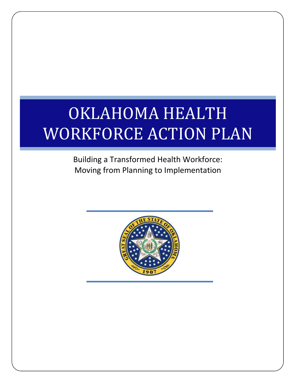# OKLAHOMA HEALTH WORKFORCE ACTION PLAN

Building a Transformed Health Workforce: Moving from Planning to Implementation

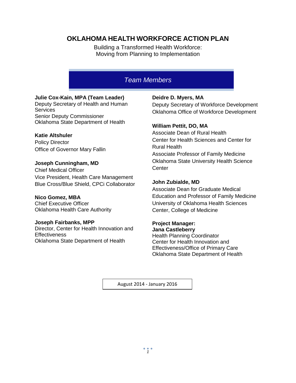# **OKLAHOMA HEALTH WORKFORCE ACTION PLAN**

Building a Transformed Health Workforce: Moving from Planning to Implementation

# *Team Members*

# **Julie Cox-Kain, MPA (Team Leader)**

Deputy Secretary of Health and Human **Services** Senior Deputy Commissioner Oklahoma State Department of Health

# **Katie Altshuler**

Policy Director Office of Governor Mary Fallin

# **Joseph Cunningham, MD**

Chief Medical Officer Vice President, Health Care Management Blue Cross/Blue Shield, CPCi Collaborator

**Nico Gomez, MBA** Chief Executive Officer Oklahoma Health Care Authority

# **Joseph Fairbanks, MPP**

Director, Center for Health Innovation and **Effectiveness** Oklahoma State Department of Health

# **Deidre D. Myers, MA**

Deputy Secretary of Workforce Development Oklahoma Office of Workforce Development

# **William Pettit, DO, MA**

Associate Dean of Rural Health Center for Health Sciences and Center for Rural Health Associate Professor of Family Medicine Oklahoma State University Health Science **Center** 

# **John Zubialde, MD**

Associate Dean for Graduate Medical Education and Professor of Family Medicine University of Oklahoma Health Sciences Center, College of Medicine

# **Project Manager:**

**Jana Castleberry** Health Planning Coordinator Center for Health Innovation and Effectiveness/Office of Primary Care Oklahoma State Department of Health

August 2014 - January 2016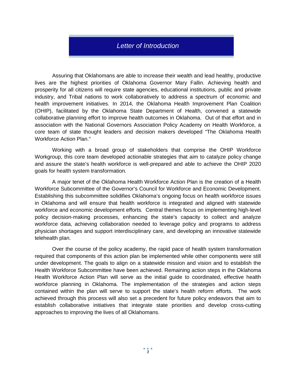# *Letter of Introduction*

Assuring that Oklahomans are able to increase their wealth and lead healthy, productive lives are the highest priorities of Oklahoma Governor Mary Fallin. Achieving health and prosperity for all citizens will require state agencies, educational institutions, public and private industry, and Tribal nations to work collaboratively to address a spectrum of economic and health improvement initiatives. In 2014, the Oklahoma Health Improvement Plan Coalition (OHIP), facilitated by the Oklahoma State Department of Health, convened a statewide collaborative planning effort to improve health outcomes in Oklahoma. Out of that effort and in association with the National Governors Association Policy Academy on Health Workforce, a core team of state thought leaders and decision makers developed "The Oklahoma Health Workforce Action Plan."

Working with a broad group of stakeholders that comprise the OHIP Workforce Workgroup, this core team developed actionable strategies that aim to catalyze policy change and assure the state's health workforce is well-prepared and able to achieve the OHIP 2020 goals for health system transformation.

A major tenet of the Oklahoma Health Workforce Action Plan is the creation of a Health Workforce Subcommittee of the Governor's Council for Workforce and Economic Development. Establishing this subcommittee solidifies Oklahoma's ongoing focus on health workforce issues in Oklahoma and will ensure that health workforce is integrated and aligned with statewide workforce and economic development efforts. Central themes focus on implementing high-level policy decision-making processes, enhancing the state's capacity to collect and analyze workforce data, achieving collaboration needed to leverage policy and programs to address physician shortages and support interdisciplinary care, and developing an innovative statewide telehealth plan.

Over the course of the policy academy, the rapid pace of health system transformation required that components of this action plan be implemented while other components were still under development. The goals to align on a statewide mission and vision and to establish the Health Workforce Subcommittee have been achieved. Remaining action steps in the Oklahoma Health Workforce Action Plan will serve as the initial guide to coordinated, effective health workforce planning in Oklahoma. The implementation of the strategies and action steps contained within the plan will serve to support the state's health reform efforts. The work achieved through this process will also set a precedent for future policy endeavors that aim to establish collaborative initiatives that integrate state priorities and develop cross-cutting approaches to improving the lives of all Oklahomans.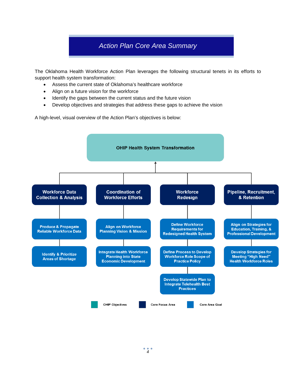# *Action Plan Core Area Summary*

The Oklahoma Health Workforce Action Plan leverages the following structural tenets in its efforts to support health system transformation:

- Assess the current state of Oklahoma's healthcare workforce
- Align on a future vision for the workforce
- Identify the gaps between the current status and the future vision
- Develop objectives and strategies that address these gaps to achieve the vision

A high-level, visual overview of the Action Plan's objectives is below:

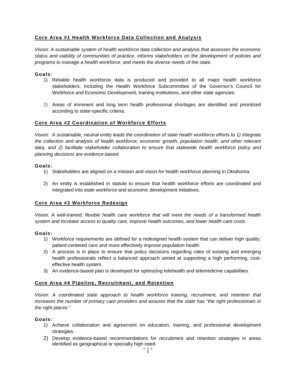# **Core Area #1 Health Workforce Data Collection and Analysis**

*Vision: A sustainable system of health workforce data collection and analysis that assesses the economic status and viability of communities of practice, informs stakeholders on the development of policies and programs to manage a health workforce, and meets the diverse needs of the state.* 

#### **Goals:**

- 1) Reliable health workforce data is produced and provided to all major health workforce stakeholders, including the Health Workforce Subcommittee of the Governor's Council for Workforce and Economic Development, training institutions, and other state agencies.
- 2) Areas of imminent and long term health professional shortages are identified and prioritized according to state-specific criteria.

#### **Core Area #2 Coordination of Workforce Efforts**

*Vision: A sustainable, neutral entity leads the coordination of state health workforce efforts to 1) integrate the collection and analysis of health workforce, economic growth, population health, and other relevant data, and 2) facilitate stakeholder collaboration to ensure that statewide health workforce policy and planning decisions are evidence-based.*

#### **Goals:**

- 1) Stakeholders are aligned on a mission and vision for health workforce planning in Oklahoma.
- 2) An entity is established in statute to ensure that health workforce efforts are coordinated and integrated into state workforce and economic development initiatives.

# **Core Area #3 Workforce Redesign**

*Vision: A well-trained, flexible health care workforce that will meet the needs of a transformed health system and increase access to quality care, improve health outcomes, and lower health care costs.* 

#### **Goals:**

- 1) Workforce requirements are defined for a redesigned health system that can deliver high quality, patient-centered care and more effectively improve population health.
- 2) A process is in place to ensure that policy decisions regarding roles of existing and emerging health professionals reflect a balanced approach aimed at supporting a high performing, costeffective health system.
- 3) An evidence-based plan is developed for optimizing telehealth and telemedicine capabilities.

# **Core Area #4 Pipeline, Recruitment, and Retention**

*Vision: A coordinated state approach to health workforce training, recruitment, and retention that increases the number of primary care providers and assures that the state has "the right professionals in the right places."*

#### **Goals:**

- 1) Achieve collaboration and agreement on education, training, and professional development strategies.
- 2) Develop evidence-based recommendations for recruitment and retention strategies in areas identified as geographical or specialty high need.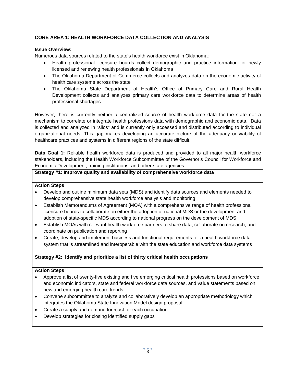# **CORE AREA 1: HEALTH WORKFORCE DATA COLLECTION AND ANALYSIS**

#### **Issue Overview:**

Numerous data sources related to the state's health workforce exist in Oklahoma:

- Health professional licensure boards collect demographic and practice information for newly licensed and renewing health professionals in Oklahoma
- The Oklahoma Department of Commerce collects and analyzes data on the economic activity of health care systems across the state
- The Oklahoma State Department of Health's Office of Primary Care and Rural Health Development collects and analyzes primary care workforce data to determine areas of health professional shortages

However, there is currently neither a centralized source of health workforce data for the state nor a mechanism to correlate or integrate health professions data with demographic and economic data. Data is collected and analyzed in "silos" and is currently only accessed and distributed according to individual organizational needs. This gap makes developing an accurate picture of the adequacy or viability of healthcare practices and systems in different regions of the state difficult.

**Data Goal 1:** Reliable health workforce data is produced and provided to all major health workforce stakeholders, including the Health Workforce Subcommittee of the Governor's Council for Workforce and Economic Development, training institutions, and other state agencies.

#### **Strategy #1: Improve quality and availability of comprehensive workforce data**

#### **Action Steps**

- Develop and outline minimum data sets (MDS) and identify data sources and elements needed to develop comprehensive state health workforce analysis and monitoring
- Establish Memorandums of Agreement (MOA) with a comprehensive range of health professional licensure boards to collaborate on either the adoption of national MDS or the development and adoption of state-specific MDS according to national progress on the development of MDS
- Establish MOAs with relevant health workforce partners to share data, collaborate on research, and coordinate on publication and reporting
- Create, develop and implement business and functional requirements for a health workforce data system that is streamlined and interoperable with the state education and workforce data systems

# **Strategy #2: Identify and prioritize a list of thirty critical health occupations**

#### **Action Steps**

- Approve a list of twenty-five existing and five emerging critical health professions based on workforce and economic indicators, state and federal workforce data sources, and value statements based on new and emerging health care trends
- Convene subcommittee to analyze and collaboratively develop an appropriate methodology which integrates the Oklahoma State Innovation Model design proposal
- Create a supply and demand forecast for each occupation
- Develop strategies for closing identified supply gaps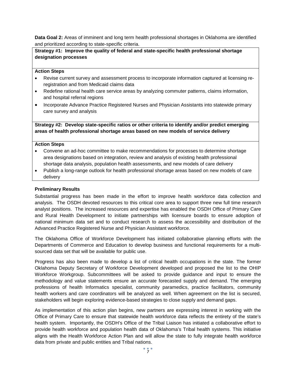**Data Goal 2:** Areas of imminent and long term health professional shortages in Oklahoma are identified and prioritized according to state-specific criteria.

**Strategy #1: Improve the quality of federal and state-specific health professional shortage designation processes**

#### **Action Steps**

- Revise current survey and assessment process to incorporate information captured at licensing reregistration and from Medicaid claims data
- Redefine rational health care service areas by analyzing commuter patterns, claims information, and hospital referral regions
- Incorporate Advance Practice Registered Nurses and Physician Assistants into statewide primary care survey and analysis

**Strategy #2: Develop state-specific ratios or other criteria to identify and/or predict emerging areas of health professional shortage areas based on new models of service delivery**

#### **Action Steps**

- Convene an ad-hoc committee to make recommendations for processes to determine shortage area designations based on integration, review and analysis of existing health professional shortage data analysis, population health assessments, and new models of care delivery
- Publish a long-range outlook for health professional shortage areas based on new models of care delivery

#### **Preliminary Results**

Substantial progress has been made in the effort to improve health workforce data collection and analysis. The OSDH devoted resources to this critical core area to support three new full time research analyst positions. The increased resources and expertise has enabled the OSDH Office of Primary Care and Rural Health Development to initiate partnerships with licensure boards to ensure adoption of national minimum data set and to conduct research to assess the accessibility and distribution of the Advanced Practice Registered Nurse and Physician Assistant workforce.

The Oklahoma Office of Workforce Development has initiated collaborative planning efforts with the Departments of Commerce and Education to develop business and functional requirements for a multisourced data set that will be available for public use.

Progress has also been made to develop a list of critical health occupations in the state. The former Oklahoma Deputy Secretary of Workforce Development developed and proposed the list to the OHIP Workforce Workgroup. Subcommittees will be asked to provide guidance and input to ensure the methodology and value statements ensure an accurate forecasted supply and demand. The emerging professions of health Informatics specialist, community paramedics, practice facilitators, community health workers and care coordinators will be analyzed as well. When agreement on the list is secured, stakeholders will begin exploring evidence-based strategies to close supply and demand gaps.

As implementation of this action plan begins, new partners are expressing interest in working with the Office of Primary Care to ensure that statewide health workforce data reflects the entirety of the state's health system. Importantly, the OSDH's Office of the Tribal Liaison has initiated a collaborative effort to provide health workforce and population health data of Oklahoma's Tribal health systems. This initiative aligns with the Health Workforce Action Plan and will allow the state to fully integrate health workforce data from private and public entities and Tribal nations.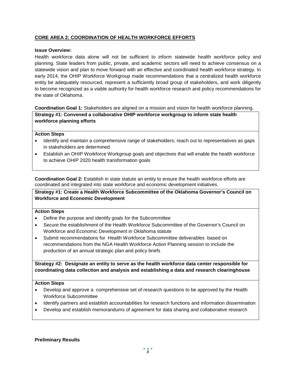# **CORE AREA 2: COORDINATION OF HEALTH WORKFORCE EFFORTS**

#### **Issue Overview:**

Health workforce data alone will not be sufficient to inform statewide health workforce policy and planning. State leaders from public, private, and academic sectors will need to achieve consensus on a statewide vision and plan to move forward with an effective and coordinated health workforce strategy. In early 2014, the OHIP Workforce Workgroup made recommendations that a centralized health workforce entity be adequately resourced, represent a sufficiently broad group of stakeholders, and work diligently to become recognized as a viable authority for health workforce research and policy recommendations for the state of Oklahoma.

**Coordination Goal 1:** Stakeholders are aligned on a mission and vision for health workforce planning.

**Strategy #1: Convened a collaborative OHIP workforce workgroup to inform state health workforce planning efforts** 

#### **Action Steps**

- Identify and maintain a comprehensive range of stakeholders; reach out to representatives as gaps in stakeholders are determined
- Establish an OHIP Workforce Workgroup goals and objectives that will enable the health workforce to achieve OHIP 2020 health transformation goals

**Coordination Goal 2:** Establish in state statute an entity to ensure the health workforce efforts are coordinated and integrated into state workforce and economic development initiatives.

**Strategy #1: Create a Health Workforce Subcommittee of the Oklahoma Governor's Council on Workforce and Economic Development**

#### **Action Steps**

- Define the purpose and identify goals for the Subcommittee
- Secure the establishment of the Health Workforce Subcommittee of the Governor's Council on Workforce and Economic Development in Oklahoma statute
- Submit recommendations for Health Workforce Subcommittee deliverables based on recommendations from the NGA Health Workforce Action Planning session to include the production of an annual strategic plan and policy briefs

**Strategy #2: Designate an entity to serve as the health workforce data center responsible for coordinating data collection and analysis and establishing a data and research clearinghouse**

#### **Action Steps**

- Develop and approve a comprehensive set of research questions to be approved by the Health Workforce Subcommittee
- Identify partners and establish accountabilities for research functions and information dissemination
- Develop and establish memorandums of agreement for data sharing and collaborative research

#### **Preliminary Results**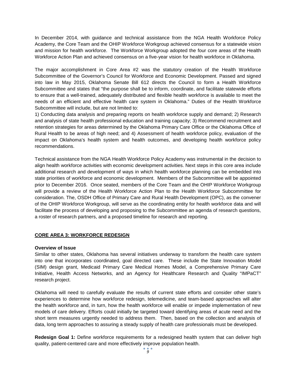In December 2014, with guidance and technical assistance from the NGA Health Workforce Policy Academy, the Core Team and the OHIP Workforce Workgroup achieved consensus for a statewide vision and mission for health workforce. The Workforce Workgroup adopted the four core areas of the Health Workforce Action Plan and achieved consensus on a five-year vision for health workforce in Oklahoma.

The major accomplishment in Core Area #2 was the statutory creation of the Health Workforce Subcommittee of the Governor's Council for Workforce and Economic Development. Passed and signed into law in May 2015, Oklahoma Senate Bill 612 directs the Council to form a Health Workforce Subcommittee and states that "the purpose shall be to inform, coordinate, and facilitate statewide efforts to ensure that a well-trained, adequately distributed and flexible health workforce is available to meet the needs of an efficient and effective health care system in Oklahoma." Duties of the Health Workforce Subcommittee will include, but are not limited to:

1) Conducting data analysis and preparing reports on health workforce supply and demand; 2) Research and analysis of state health professional education and training capacity; 3) Recommend recruitment and retention strategies for areas determined by the Oklahoma Primary Care Office or the Oklahoma Office of Rural Health to be areas of high need; and 4) Assessment of health workforce policy, evaluation of the impact on Oklahoma's health system and health outcomes, and developing health workforce policy recommendations.

Technical assistance from the NGA Health Workforce Policy Academy was instrumental in the decision to align health workforce activities with economic development activities. Next steps in this core area include additional research and development of ways in which health workforce planning can be embedded into state priorities of workforce and economic development. Members of the Subcommittee will be appointed prior to December 2016. Once seated, members of the Core Team and the OHIP Workforce Workgroup will provide a review of the Health Workforce Action Plan to the Health Workforce Subcommittee for consideration. The, OSDH Office of Primary Care and Rural Health Development (OPC), as the convener of the OHIP Workforce Workgroup, will serve as the coordinating entity for health workforce data and will facilitate the process of developing and proposing to the Subcommittee an agenda of research questions, a roster of research partners, and a proposed timeline for research and reporting.

#### **CORE AREA 3: WORKFORCE REDESIGN**

#### **Overview of Issue**

Similar to other states, Oklahoma has several initiatives underway to transform the health care system into one that incorporates coordinated, goal directed care. These include the State Innovation Model (SIM) design grant, Medicaid Primary Care Medical Homes Model, a Comprehensive Primary Care Initiative, Health Access Networks, and an Agency for Healthcare Research and Quality "IMPaCT" research project.

Oklahoma will need to carefully evaluate the results of current state efforts and consider other state's experiences to determine how workforce redesign, telemedicine, and team-based approaches will alter the health workforce and, in turn, how the health workforce will enable or impede implementation of new models of care delivery. Efforts could initially be targeted toward identifying areas of acute need and the short term measures urgently needed to address them. Then, based on the collection and analysis of data, long term approaches to assuring a steady supply of health care professionals must be developed.

**Redesign Goal 1:** Define workforce requirements for a redesigned health system that can deliver high quality, patient-centered care and more effectively improve population health.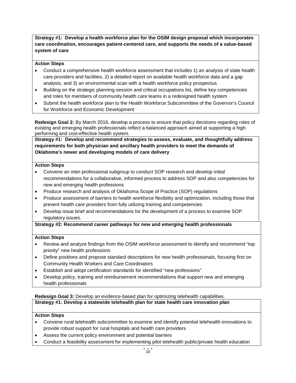**Strategy #1: Develop a health workforce plan for the OSIM design proposal which incorporates care coordination, encourages patient-centered care, and supports the needs of a value-based system of care**

#### **Action Steps**

- Conduct a comprehensive health workforce assessment that includes 1) an analysis of state health care providers and facilities, 2) a detailed report on available health workforce data and a gap analysis, and 3) an environmental scan with a health workforce policy prospectus
- Building on the strategic planning session and critical occupations list, define key competencies and roles for members of community health care teams in a redesigned health system
- Submit the health workforce plan to the Health Workforce Subcommittee of the Governor's Council for Workforce and Economic Development

**Redesign Goal 2:** By March 2016, develop a process to ensure that policy decisions regarding roles of existing and emerging health professionals reflect a balanced approach aimed at supporting a high performing and cost-effective health system.

**Strategy #1: Develop and recommend strategies to assess, evaluate, and thoughtfully address requirements for both physician and ancillary health providers to meet the demands of Oklahoma's newer and developing models of care delivery**

#### **Action Steps**

- Convene an inter-professional subgroup to conduct SOP research and develop initial recommendations for a collaborative, informed process to address SOP and also competencies for new and emerging health professions
- Produce research and analysis of Oklahoma Scope of Practice (SOP) regulations
- Produce assessment of barriers to health workforce flexibility and optimization, including those that prevent health care providers from fully utilizing training and competencies
- Develop issue brief and recommendations for the development of a process to examine SOP regulatory issues.

**Strategy #2: Recommend career pathways for new and emerging health professionals**

#### **Action Steps**

- Review and analyze findings from the OSIM workforce assessment to identify and recommend "top priority" new health professions
- Define positions and propose standard descriptions for new health professionals, focusing first on Community Health Workers and Care Coordinators
- Establish and adopt certification standards for identified "new professions"
- Develop policy, training and reimbursement recommendations that support new and emerging health professionals

**Redesign Goal 3:** Develop an evidence-based plan for optimizing telehealth capabilities.

# **Strategy #1: Develop a statewide telehealth plan for state health care innovation plan**

# **Action Steps**

- Convene rural telehealth subcommittee to examine and identify potential telehealth innovations to provide robust support for rural hospitals and health care providers
- Assess the current policy environment and potential barriers
- Conduct a feasibility assessment for implementing pilot telehealth public/private health education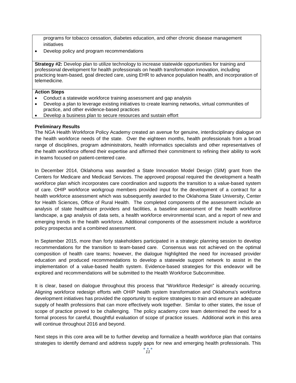programs for tobacco cessation, diabetes education, and other chronic disease management initiatives

• Develop policy and program recommendations

**Strategy #2:** Develop plan to utilize technology to increase statewide opportunities for training and professional development for health professionals on health transformation innovation, including practicing team-based, goal directed care, using EHR to advance population health, and incorporation of telemedicine.

#### **Action Steps**

- Conduct a statewide workforce training assessment and gap analysis
- Develop a plan to leverage existing initiatives to create learning networks, virtual communities of practice, and other evidence-based practices
- Develop a business plan to secure resources and sustain effort

#### **Preliminary Results**

The NGA Health Workforce Policy Academy created an avenue for genuine, interdisciplinary dialogue on the health workforce needs of the state. Over the eighteen months, health professionals from a broad range of disciplines, program administrators, health informatics specialists and other representatives of the health workforce offered their expertise and affirmed their commitment to refining their ability to work in teams focused on patient-centered care.

In December 2014, Oklahoma was awarded a State Innovation Model Design (SIM) grant from the Centers for Medicare and Medicaid Services. The approved proposal required the development a health workforce plan which incorporates care coordination and supports the transition to a value-based system of care. OHIP workforce workgroup members provided input for the development of a contract for a health workforce assessment which was subsequently awarded to the Oklahoma State University, Center for Health Sciences, Office of Rural Health. The completed components of the assessment include an analysis of state healthcare providers and facilities, a baseline assessment of the health workforce landscape, a gap analysis of data sets, a health workforce environmental scan, and a report of new and emerging trends in the health workforce. Additional components of the assessment include a workforce policy prospectus and a combined assessment.

In September 2015, more than forty stakeholders participated in a strategic planning session to develop recommendations for the transition to team-based care. Consensus was not achieved on the optimal composition of health care teams; however, the dialogue highlighted the need for increased provider education and produced recommendations to develop a statewide support network to assist in the implementation of a value-based health system. Evidence-based strategies for this endeavor will be explored and recommendations will be submitted to the Health Workforce Subcommittee.

It is clear, based on dialogue throughout this process that "Workforce Redesign" is already occurring. Aligning workforce redesign efforts with OHIP health system transformation and Oklahoma's workforce development initiatives has provided the opportunity to explore strategies to train and ensure an adequate supply of health professions that can more effectively work together. Similar to other states, the issue of scope of practice proved to be challenging. The policy academy core team determined the need for a formal process for careful, thoughtful evaluation of scope of practice issues. Additional work in this area will continue throughout 2016 and beyond.

Next steps in this core area will be to further develop and formalize a health workforce plan that contains strategies to identify demand and address supply gaps for new and emerging health professionals. This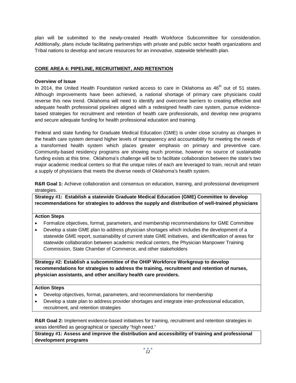plan will be submitted to the newly-created Health Workforce Subcommittee for consideration. Additionally, plans include facilitating partnerships with private and public sector health organizations and Tribal nations to develop and secure resources for an innovative, statewide telehealth plan.

# **CORE AREA 4: PIPELINE, RECRUITMENT, AND RETENTION**

# **Overview of Issue**

In 2014, the United Health Foundation ranked access to care in Oklahoma as  $46<sup>th</sup>$  out of 51 states. Although improvements have been achieved, a national shortage of primary care physicians could reverse this new trend. Oklahoma will need to identify and overcome barriers to creating effective and adequate health professional pipelines aligned with a redesigned health care system, pursue evidencebased strategies for recruitment and retention of health care professionals, and develop new programs and secure adequate funding for health professional education and training.

Federal and state funding for Graduate Medical Education (GME) is under close scrutiny as changes in the health care system demand higher levels of transparency and accountability for meeting the needs of a transformed health system which places greater emphasis on primary and preventive care. Community-based residency programs are showing much promise, however no source of sustainable funding exists at this time. Oklahoma's challenge will be to facilitate collaboration between the state's two major academic medical centers so that the unique roles of each are leveraged to train, recruit and retain a supply of physicians that meets the diverse needs of Oklahoma's health system.

**R&R Goal 1:** Achieve collaboration and consensus on education, training, and professional development strategies.

**Strategy #1: Establish a statewide Graduate Medical Education (GME) Committee to develop recommendations for strategies to address the supply and distribution of well-trained physicians**

#### **Action Steps**

- Formalize objectives, format, parameters, and membership recommendations for GME Committee
- Develop a state GME plan to address physician shortages which includes the development of a statewide GME report, sustainability of current state GME initiatives, and identification of areas for statewide collaboration between academic medical centers, the Physician Manpower Training Commission, State Chamber of Commerce, and other stakeholders

**Strategy #2: Establish a subcommittee of the OHIP Workforce Workgroup to develop recommendations for strategies to address the training, recruitment and retention of nurses, physician assistants, and other ancillary health care providers.** 

#### **Action Steps**

- Develop objectives, format, parameters, and recommendations for membership
- Develop a state plan to address provider shortages and integrate inter-professional education, recruitment, and retention strategies

**R&R Goal 2:** Implement evidence-based initiatives for training, recruitment and retention strategies in areas identified as geographical or specialty "high need."

**Strategy #1: Assess and improve the distribution and accessibility of training and professional development programs**